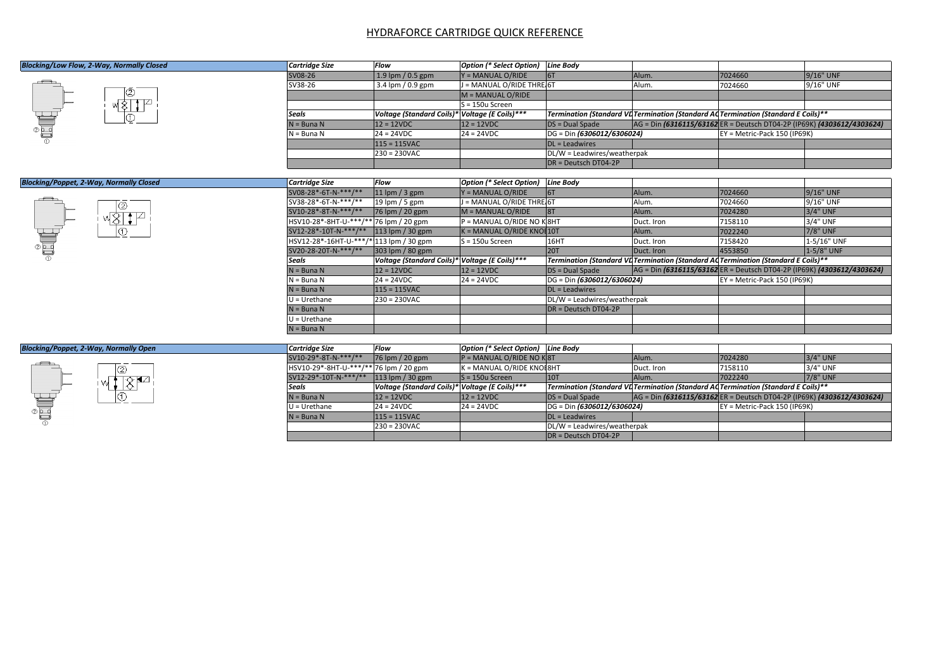## HYDRAFORCE CARTRIDGE QUICK REFERENCE

| Blocking/Low Flow, 2-Way, Normally Closed      | <b>Cartridge Size</b>                   | Flow                                           | Option (* Select Option) Line Body |                                   |            |                                                                                    |             |
|------------------------------------------------|-----------------------------------------|------------------------------------------------|------------------------------------|-----------------------------------|------------|------------------------------------------------------------------------------------|-------------|
|                                                | SV08-26                                 | 1.9 lpm / 0.5 gpm                              | Y = MANUAL O/RIDE                  | 6T                                | Alum.      | 7024660                                                                            | 9/16" UNF   |
|                                                | SV38-26                                 | 3.4 lpm / 0.9 gpm                              | J = MANUAL O/RIDE THRE 6T          |                                   | Alum.      | 7024660                                                                            | 9/16" UNF   |
|                                                |                                         |                                                | M = MANUAL O/RIDE                  |                                   |            |                                                                                    |             |
|                                                |                                         |                                                | $S = 150u$ Screen                  |                                   |            |                                                                                    |             |
|                                                | <b>Seals</b>                            | Voltage (Standard Coils)* Voltage (E Coils)*** |                                    |                                   |            | Termination (Standard VL Termination (Standard AC Termination (Standard E Coils)** |             |
|                                                | $N = B$ una N                           | $12 = 12VDC$                                   | $12 = 12VDC$                       | $DS = Dual Space$                 |            | AG = Din (6316115/63162 ER = Deutsch DT04-2P (IP69K) (4303612/4303624)             |             |
|                                                | $N = B$ una N                           | $24 = 24VDC$                                   | $24 = 24VDC$                       | DG = Din (6306012/6306024)        |            | EY = Metric-Pack 150 (IP69K)                                                       |             |
|                                                |                                         | $115 = 115$ VAC                                |                                    | $DL =$ Leadwires                  |            |                                                                                    |             |
|                                                |                                         | $230 = 230$ VAC                                |                                    | DL/W = Leadwires/weatherpak       |            |                                                                                    |             |
|                                                |                                         |                                                |                                    | $\overline{DR}$ = Deutsch DT04-2P |            |                                                                                    |             |
|                                                |                                         |                                                |                                    |                                   |            |                                                                                    |             |
| <b>Blocking/Poppet, 2-Way, Normally Closed</b> | <b>Cartridge Size</b>                   | <b>Flow</b>                                    | Option (* Select Option) Line Body |                                   |            |                                                                                    |             |
|                                                | SV08-28*-6T-N-***/**                    | $ 11$ lpm / 3 gpm                              | $Y = MANUAL O/RIDE$                | 6T                                | Alum.      | 7024660                                                                            | 9/16" UNF   |
| w8HP                                           | SV38-28*-6T-N-***/**                    | 19 lpm $/$ 5 gpm                               | J = MANUAL O/RIDE THRE 6T          |                                   | Alum.      | 7024660                                                                            | 9/16" UNF   |
|                                                | SV10-28*-8T-N-***/**                    | 76 lpm / 20 gpm                                | M = MANUAL O/RIDE                  | 8T                                | Alum.      | 7024280                                                                            | 3/4" UNF    |
|                                                | HSV10-28*-8HT-U-***/** 76 lpm / 20 gpm  |                                                | P = MANUAL O/RIDE NO K8HT          |                                   | Duct. Iron | 7158110                                                                            | 3/4" UNF    |
|                                                | SV12-28*-10T-N-***/** 113 lpm / 30 gpm  |                                                | $K = MANUAL$ O/RIDE KNOI 10T       |                                   | Alum.      | 7022240                                                                            | 7/8" UNF    |
|                                                | HSV12-28*-16HT-U-***/* 113 lpm / 30 gpm |                                                | $S = 150u$ Screen                  | 16HT                              | Duct. Iron | 7158420                                                                            | 1-5/16" UNF |
|                                                | SV20-28-20T-N-***/**                    | 303 lpm / 80 gpm                               |                                    | 20T                               | Duct. Iron | 4553850                                                                            | 1-5/8" UNF  |
|                                                | <b>Seals</b>                            | Voltage (Standard Coils)* Voltage (E Coils)*** |                                    |                                   |            | Termination (Standard VL Termination (Standard AC Termination (Standard E Coils)** |             |
|                                                | $N = B$ una N                           | $12 = 12VDC$                                   | $12 = 12VDC$                       | $DS = Dual Space$                 |            | AG = Din (6316115/63162 ER = Deutsch DT04-2P (IP69K) (4303612/4303624)             |             |
|                                                | $N = B$ una N                           | $24 = 24VDC$                                   | $24 = 24VDC$                       | DG = Din (6306012/6306024)        |            | EY = Metric-Pack 150 (IP69K)                                                       |             |
|                                                | $N = B$ una N                           | $115 = 115$ VAC                                |                                    | $DL =$ Leadwires                  |            |                                                                                    |             |
|                                                | $U = Urethane$                          | $230 = 230VAC$                                 |                                    | DL/W = Leadwires/weatherpak       |            |                                                                                    |             |
|                                                | $N = B$ una N                           |                                                |                                    | DR = Deutsch DT04-2P              |            |                                                                                    |             |
|                                                | $U = Urethane$                          |                                                |                                    |                                   |            |                                                                                    |             |
|                                                | $N = B$ una N                           |                                                |                                    |                                   |            |                                                                                    |             |
|                                                |                                         |                                                |                                    |                                   |            |                                                                                    |             |
| <b>Blocking/Poppet, 2-Way, Normally Open</b>   | <b>Cartridge Size</b>                   | Flow                                           | Option (* Select Option) Line Body |                                   |            |                                                                                    |             |
|                                                | SV10-29*-8T-N-***/**                    | 76 lpm / 20 gpm                                | $P = MANUAL O/RIDE NO K8T$         |                                   | Alum.      | 7024280                                                                            | $3/4"$ UNF  |
|                                                | HSV10-29*-8HT-U-***/** 76 lpm / 20 gpm  |                                                | K = MANUAL O/RIDE KNOE8HT          |                                   | Duct. Iron | 7158110                                                                            | 3/4" UNF    |
|                                                | SV12-29*-10T-N-***/**                   | $113$ lpm / 30 gpm                             | $S = 150u$ Screen                  | 10T                               | Alum.      | 7022240                                                                            | 7/8" UNF    |
|                                                | <b>Seals</b>                            | Voltage (Standard Coils)* Voltage (E Coils)*** |                                    |                                   |            | Termination (Standard VL Termination (Standard AC Termination (Standard E Coils)** |             |
|                                                | $N = B$ una N                           | $12 = 12VDC$                                   | $12 = 12VDC$                       | $DS = Dual Space$                 |            | AG = Din (6316115/63162 ER = Deutsch DT04-2P (IP69K) (4303612/4303624)             |             |
|                                                | $U = Urethane$                          | $24 = 24VDC$                                   | $24 = 24VDC$                       | DG = Din (6306012/6306024)        |            | EY = Metric-Pack 150 (IP69K)                                                       |             |
|                                                | $N = B$ una N                           | $115 = 115$ VAC                                |                                    | $DL =$ Leadwires                  |            |                                                                                    |             |
|                                                |                                         | $230 = 230VAC$                                 |                                    | DL/W = Leadwires/weatherpak       |            |                                                                                    |             |
|                                                |                                         |                                                |                                    | $\overline{DR}$ = Deutsch DT04-2P |            |                                                                                    |             |